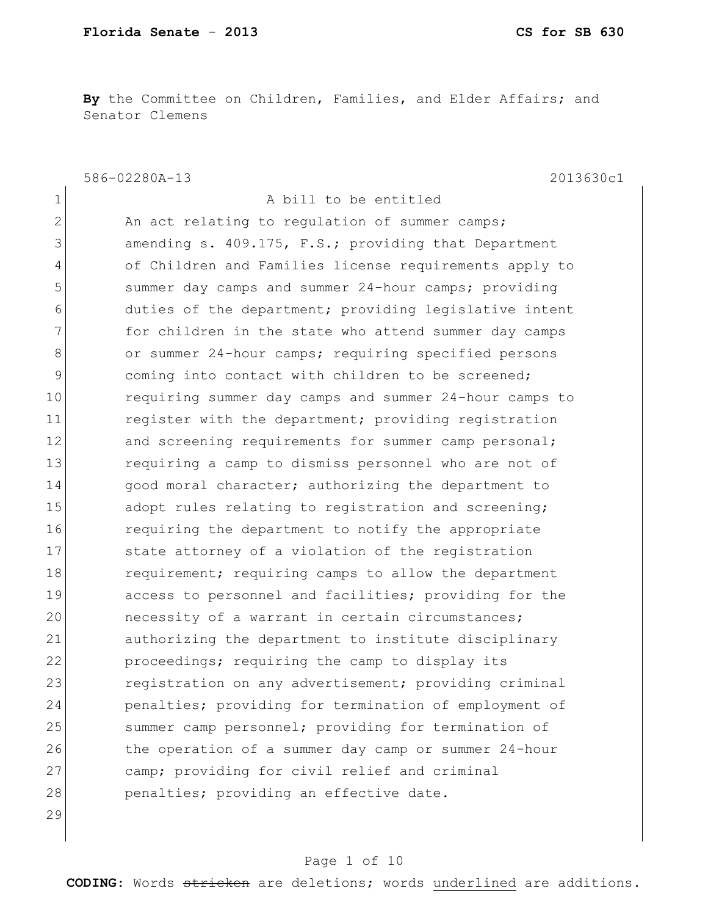**By** the Committee on Children, Families, and Elder Affairs; and Senator Clemens

586-02280A-13 2013630c1

1 a bill to be entitled  $2$  An act relating to regulation of summer camps; 3 amending s. 409.175, F.S.; providing that Department 4 of Children and Families license requirements apply to 5 summer day camps and summer 24-hour camps; providing 6 6 duties of the department; providing legislative intent 7 for children in the state who attend summer day camps 8 or summer 24-hour camps; requiring specified persons 9 coming into contact with children to be screened; 10 requiring summer day camps and summer 24-hour camps to 11 register with the department; providing registration 12 and screening requirements for summer camp personal; 13 13 requiring a camp to dismiss personnel who are not of 14 good moral character; authorizing the department to 15 adopt rules relating to registration and screening; 16 **requiring the department to notify the appropriate** 17 State attorney of a violation of the registration 18 requirement; requiring camps to allow the department 19 access to personnel and facilities; providing for the 20 **necessity of a warrant in certain circumstances;** 21 authorizing the department to institute disciplinary 22 proceedings; requiring the camp to display its 23 registration on any advertisement; providing criminal 24 penalties; providing for termination of employment of 25 summer camp personnel; providing for termination of 26 the operation of a summer day camp or summer 24-hour 27 camp; providing for civil relief and criminal 28 penalties; providing an effective date.

#### 29

#### Page 1 of 10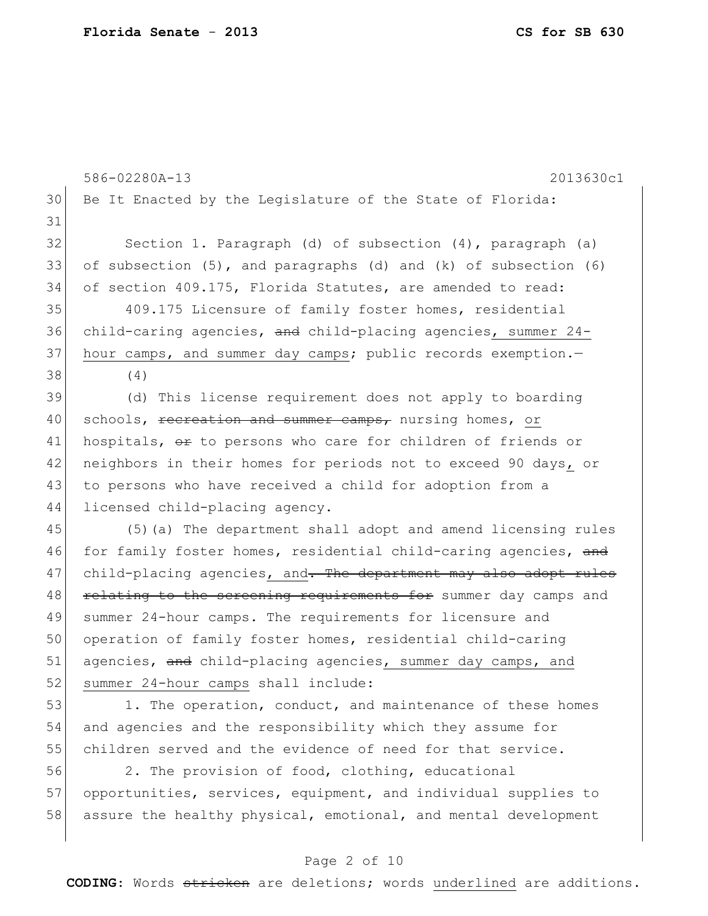|    | 586-02280A-13<br>2013630c1                                       |
|----|------------------------------------------------------------------|
| 30 | Be It Enacted by the Leqislature of the State of Florida:        |
| 31 |                                                                  |
| 32 | Section 1. Paragraph (d) of subsection (4), paragraph (a)        |
| 33 | of subsection (5), and paragraphs (d) and (k) of subsection (6)  |
| 34 | of section 409.175, Florida Statutes, are amended to read:       |
| 35 | 409.175 Licensure of family foster homes, residential            |
| 36 | child-caring agencies, and child-placing agencies, summer 24-    |
| 37 | hour camps, and summer day camps; public records exemption.-     |
| 38 | (4)                                                              |
| 39 | (d) This license requirement does not apply to boarding          |
| 40 | schools, recreation and summer camps, nursing homes, or          |
| 41 | hospitals, or to persons who care for children of friends or     |
| 42 | neighbors in their homes for periods not to exceed 90 days, or   |
| 43 | to persons who have received a child for adoption from a         |
| 44 | licensed child-placing agency.                                   |
| 45 | (5) (a) The department shall adopt and amend licensing rules     |
| 46 | for family foster homes, residential child-caring agencies, and  |
| 47 | child-placing agencies, and. The department may also adopt rules |
| 48 | relating to the screening requirements for summer day camps and  |
| 49 | summer 24-hour camps. The requirements for licensure and         |
| 50 | operation of family foster homes, residential child-caring       |
| 51 | agencies, and child-placing agencies, summer day camps, and      |
| 52 | summer 24-hour camps shall include:                              |
| 53 | 1. The operation, conduct, and maintenance of these homes        |
| 54 | and agencies and the responsibility which they assume for        |
| 55 | children served and the evidence of need for that service.       |
| 56 | 2. The provision of food, clothing, educational                  |
| 57 | opportunities, services, equipment, and individual supplies to   |
| 58 | assure the healthy physical, emotional, and mental development   |
|    |                                                                  |

# Page 2 of 10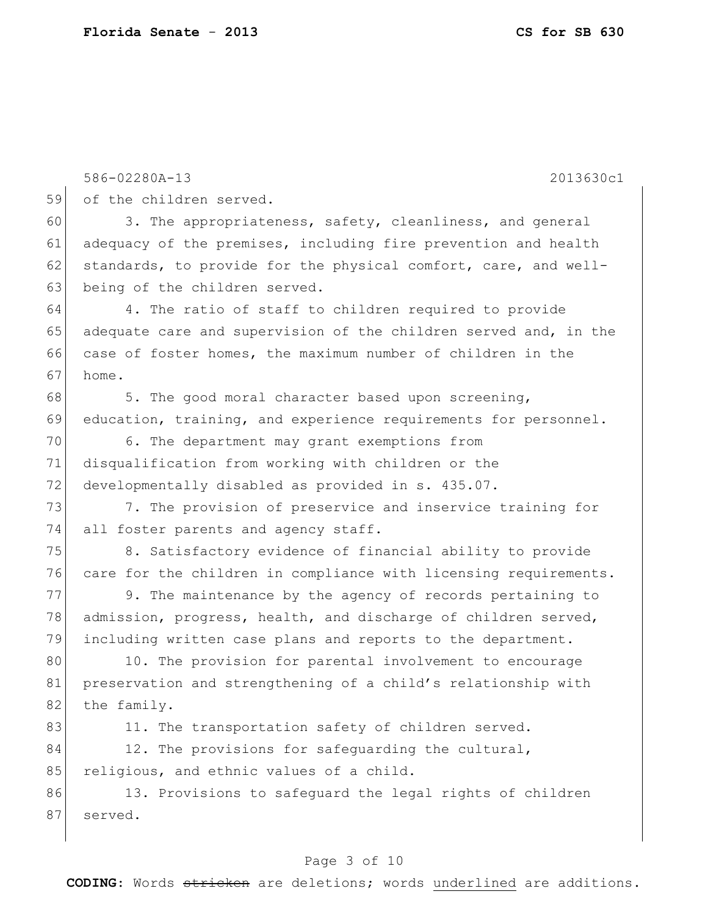|    | 586-02280A-13<br>2013630c1                                       |
|----|------------------------------------------------------------------|
| 59 | of the children served.                                          |
| 60 | 3. The appropriateness, safety, cleanliness, and general         |
| 61 | adequacy of the premises, including fire prevention and health   |
| 62 | standards, to provide for the physical comfort, care, and well-  |
| 63 | being of the children served.                                    |
| 64 | 4. The ratio of staff to children required to provide            |
| 65 | adequate care and supervision of the children served and, in the |
| 66 | case of foster homes, the maximum number of children in the      |
| 67 | home.                                                            |
| 68 | 5. The good moral character based upon screening,                |
| 69 | education, training, and experience requirements for personnel.  |
| 70 | 6. The department may grant exemptions from                      |
| 71 | disqualification from working with children or the               |
| 72 | developmentally disabled as provided in s. 435.07.               |
| 73 | 7. The provision of preservice and inservice training for        |
| 74 | all foster parents and agency staff.                             |
| 75 | 8. Satisfactory evidence of financial ability to provide         |
| 76 | care for the children in compliance with licensing requirements. |
| 77 | 9. The maintenance by the agency of records pertaining to        |
| 78 | admission, progress, health, and discharge of children served,   |
| 79 | including written case plans and reports to the department.      |
| 80 | 10. The provision for parental involvement to encourage          |
| 81 | preservation and strengthening of a child's relationship with    |
| 82 | the family.                                                      |
| 83 | 11. The transportation safety of children served.                |
| 84 | 12. The provisions for safeguarding the cultural,                |
| 85 | religious, and ethnic values of a child.                         |
| 86 | 13. Provisions to safeguard the legal rights of children         |
| 87 | served.                                                          |
|    |                                                                  |

# Page 3 of 10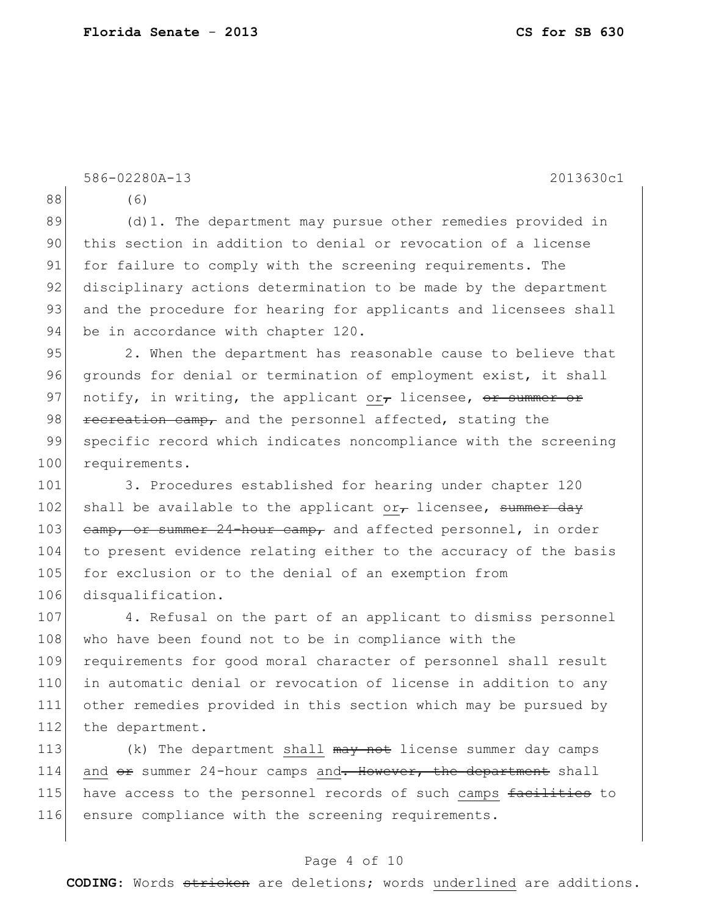|     | 586-02280A-13<br>2013630c1                                            |
|-----|-----------------------------------------------------------------------|
| 88  | (6)                                                                   |
| 89  | (d) 1. The department may pursue other remedies provided in           |
| 90  | this section in addition to denial or revocation of a license         |
| 91  | for failure to comply with the screening requirements. The            |
| 92  | disciplinary actions determination to be made by the department       |
| 93  | and the procedure for hearing for applicants and licensees shall      |
| 94  | be in accordance with chapter 120.                                    |
| 95  | 2. When the department has reasonable cause to believe that           |
| 96  | grounds for denial or termination of employment exist, it shall       |
| 97  | notify, in writing, the applicant or, licensee, or summer or          |
| 98  | recreation camp, and the personnel affected, stating the              |
| 99  | specific record which indicates noncompliance with the screening      |
| 100 | requirements.                                                         |
| 101 | 3. Procedures established for hearing under chapter 120               |
| 102 | shall be available to the applicant or $_{\tau}$ licensee, summer day |
| 103 | eamp, or summer 24-hour camp, and affected personnel, in order        |
| 104 | to present evidence relating either to the accuracy of the basis      |
| 105 | for exclusion or to the denial of an exemption from                   |
| 106 | disqualification.                                                     |
| 107 | 4. Refusal on the part of an applicant to dismiss personnel           |
| 108 | who have been found not to be in compliance with the                  |
| 109 | requirements for good moral character of personnel shall result       |
| 110 | in automatic denial or revocation of license in addition to any       |
| 111 | other remedies provided in this section which may be pursued by       |
| 112 | the department.                                                       |

113  $(k)$  The department shall  $\frac{m}{k}$  not license summer day camps 114 and  $er$  summer 24-hour camps and. However, the department shall 115 have access to the personnel records of such camps facilities to 116 ensure compliance with the screening requirements.

### Page 4 of 10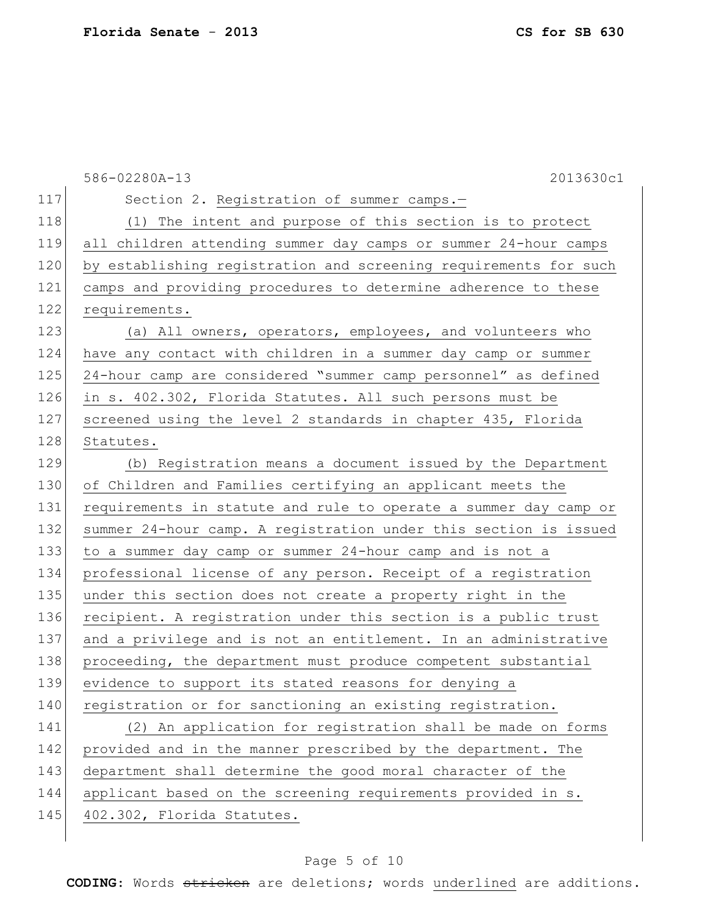586-02280A-13 2013630c1 117 Section 2. Registration of summer camps.-118 (1) The intent and purpose of this section is to protect 119 all children attending summer day camps or summer 24-hour camps 120 by establishing registration and screening requirements for such 121 camps and providing procedures to determine adherence to these 122 requirements. 123 (a) All owners, operators, employees, and volunteers who 124 have any contact with children in a summer day camp or summer 125 24-hour camp are considered "summer camp personnel" as defined 126 in s. 402.302, Florida Statutes. All such persons must be 127 screened using the level 2 standards in chapter 435, Florida 128 Statutes. 129 (b) Registration means a document issued by the Department 130 of Children and Families certifying an applicant meets the 131 requirements in statute and rule to operate a summer day camp or 132 summer 24-hour camp. A registration under this section is issued 133 to a summer day camp or summer 24-hour camp and is not a 134 professional license of any person. Receipt of a registration 135 under this section does not create a property right in the 136 recipient. A registration under this section is a public trust 137 and a privilege and is not an entitlement. In an administrative 138 proceeding, the department must produce competent substantial 139 evidence to support its stated reasons for denying a 140 registration or for sanctioning an existing registration. 141 (2) An application for registration shall be made on forms 142 provided and in the manner prescribed by the department. The 143 department shall determine the good moral character of the 144 applicant based on the screening requirements provided in s. 145 402.302, Florida Statutes.

#### Page 5 of 10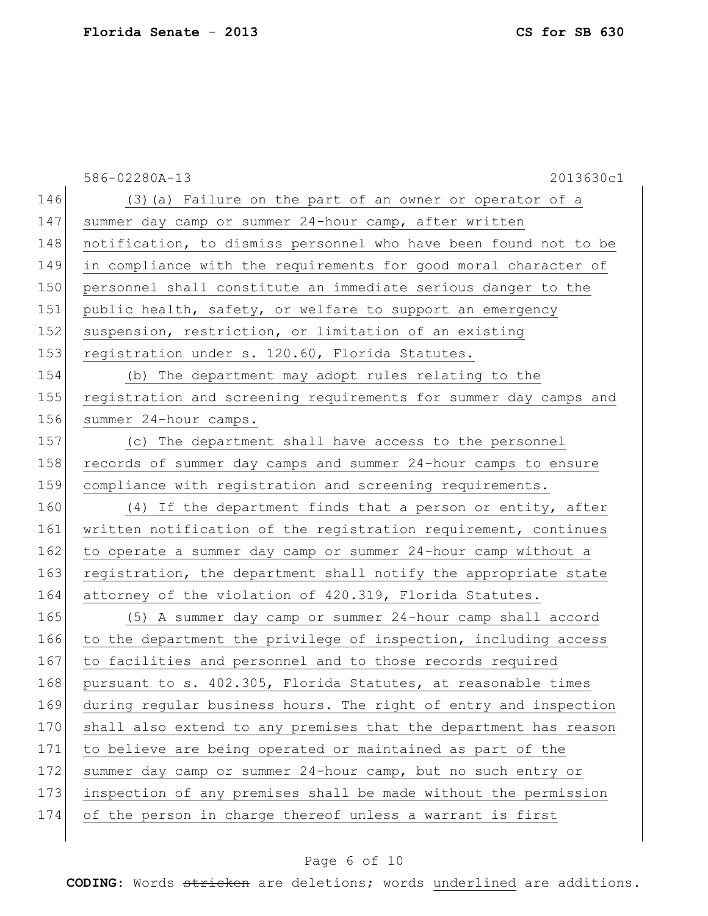|     | 586-02280A-13<br>2013630c1                                       |
|-----|------------------------------------------------------------------|
| 146 | (3) (a) Failure on the part of an owner or operator of a         |
| 147 | summer day camp or summer 24-hour camp, after written            |
| 148 | notification, to dismiss personnel who have been found not to be |
| 149 | in compliance with the requirements for good moral character of  |
| 150 | personnel shall constitute an immediate serious danger to the    |
| 151 | public health, safety, or welfare to support an emergency        |
| 152 | suspension, restriction, or limitation of an existing            |
| 153 | registration under s. 120.60, Florida Statutes.                  |
| 154 | (b) The department may adopt rules relating to the               |
| 155 | registration and screening requirements for summer day camps and |
| 156 | summer 24-hour camps.                                            |
| 157 | (c) The department shall have access to the personnel            |
| 158 | records of summer day camps and summer 24-hour camps to ensure   |
| 159 | compliance with registration and screening requirements.         |
| 160 | (4) If the department finds that a person or entity, after       |
| 161 | written notification of the registration requirement, continues  |
| 162 | to operate a summer day camp or summer 24-hour camp without a    |
| 163 | registration, the department shall notify the appropriate state  |
| 164 | attorney of the violation of 420.319, Florida Statutes.          |
| 165 | (5) A summer day camp or summer 24-hour camp shall accord        |
| 166 | to the department the privilege of inspection, including access  |
| 167 | to facilities and personnel and to those records required        |
| 168 | pursuant to s. 402.305, Florida Statutes, at reasonable times    |
| 169 | during regular business hours. The right of entry and inspection |
| 170 | shall also extend to any premises that the department has reason |
| 171 | to believe are being operated or maintained as part of the       |
| 172 | summer day camp or summer 24-hour camp, but no such entry or     |
| 173 | inspection of any premises shall be made without the permission  |
| 174 | of the person in charge thereof unless a warrant is first        |
|     |                                                                  |

# Page 6 of 10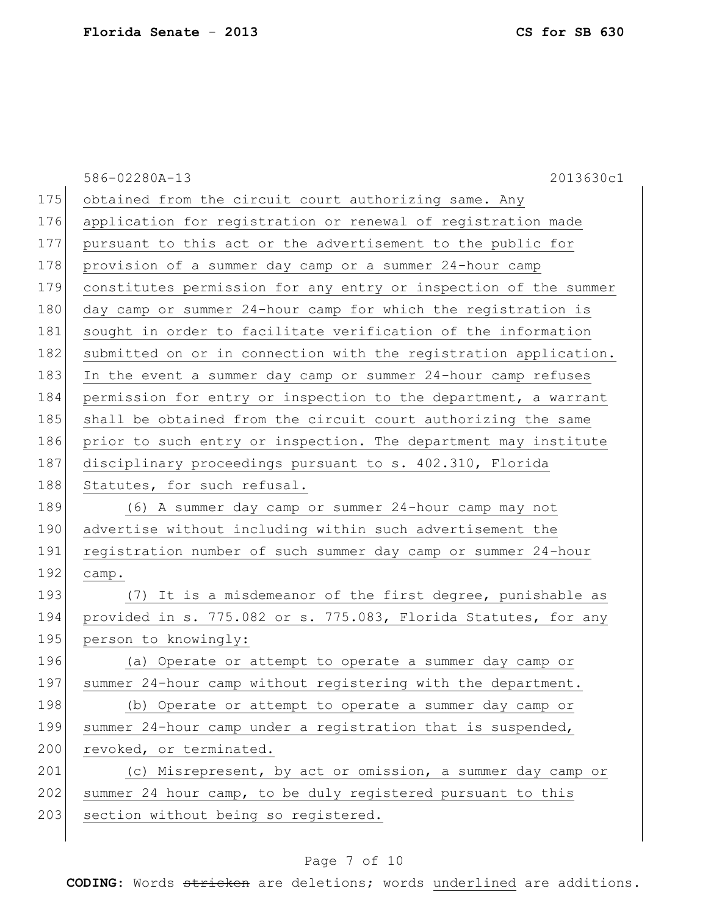|     | 2013630c1<br>586-02280A-13                                       |
|-----|------------------------------------------------------------------|
| 175 | obtained from the circuit court authorizing same. Any            |
| 176 | application for registration or renewal of registration made     |
| 177 | pursuant to this act or the advertisement to the public for      |
| 178 | provision of a summer day camp or a summer 24-hour camp          |
| 179 | constitutes permission for any entry or inspection of the summer |
| 180 | day camp or summer 24-hour camp for which the registration is    |
| 181 | sought in order to facilitate verification of the information    |
| 182 | submitted on or in connection with the registration application. |
| 183 | In the event a summer day camp or summer 24-hour camp refuses    |
| 184 | permission for entry or inspection to the department, a warrant  |
| 185 | shall be obtained from the circuit court authorizing the same    |
| 186 | prior to such entry or inspection. The department may institute  |
| 187 | disciplinary proceedings pursuant to s. 402.310, Florida         |
| 188 | Statutes, for such refusal.                                      |
| 189 | (6) A summer day camp or summer 24-hour camp may not             |
| 190 | advertise without including within such advertisement the        |
| 191 | registration number of such summer day camp or summer 24-hour    |
| 192 | camp.                                                            |
| 193 | (7) It is a misdemeanor of the first degree, punishable as       |
| 194 | provided in s. 775.082 or s. 775.083, Florida Statutes, for any  |
| 195 | person to knowingly:                                             |
| 196 | (a) Operate or attempt to operate a summer day camp or           |
| 197 | summer 24-hour camp without registering with the department.     |
| 198 | (b) Operate or attempt to operate a summer day camp or           |
| 199 | summer 24-hour camp under a registration that is suspended,      |
| 200 | revoked, or terminated.                                          |
| 201 | (c) Misrepresent, by act or omission, a summer day camp or       |
| 202 | summer 24 hour camp, to be duly registered pursuant to this      |
| 203 | section without being so registered.                             |
|     |                                                                  |

# Page 7 of 10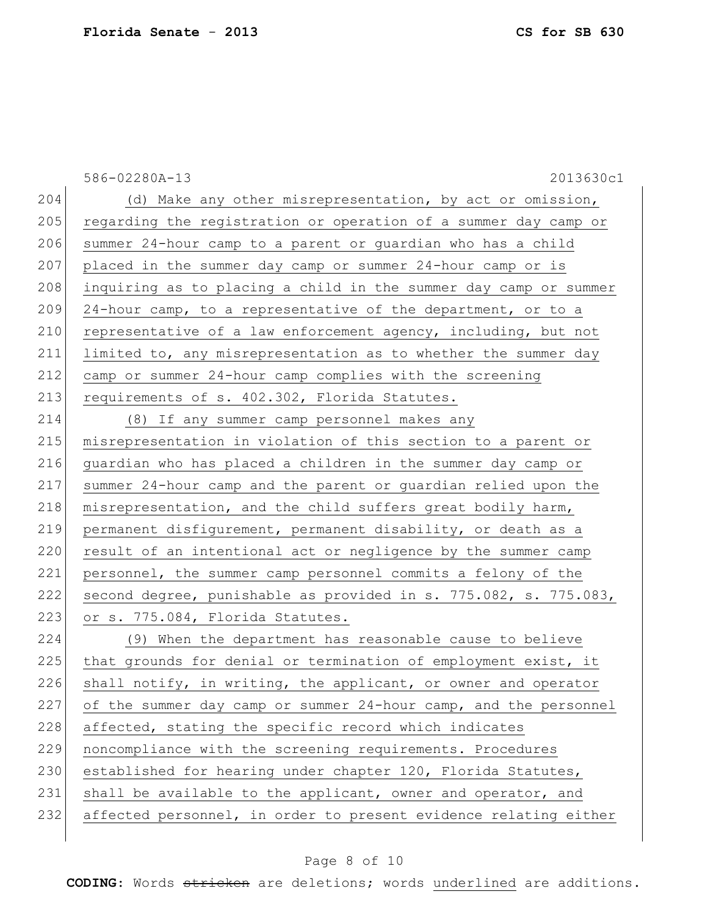|     | 586-02280A-13<br>2013630c1                                       |
|-----|------------------------------------------------------------------|
| 204 | (d) Make any other misrepresentation, by act or omission,        |
| 205 | regarding the registration or operation of a summer day camp or  |
| 206 | summer 24-hour camp to a parent or guardian who has a child      |
| 207 | placed in the summer day camp or summer 24-hour camp or is       |
| 208 | inquiring as to placing a child in the summer day camp or summer |
| 209 | 24-hour camp, to a representative of the department, or to a     |
| 210 | representative of a law enforcement agency, including, but not   |
| 211 | limited to, any misrepresentation as to whether the summer day   |
| 212 | camp or summer 24-hour camp complies with the screening          |
| 213 | requirements of s. 402.302, Florida Statutes.                    |
| 214 | (8) If any summer camp personnel makes any                       |
| 215 | misrepresentation in violation of this section to a parent or    |
| 216 | guardian who has placed a children in the summer day camp or     |
| 217 | summer 24-hour camp and the parent or guardian relied upon the   |
| 218 | misrepresentation, and the child suffers great bodily harm,      |
| 219 | permanent disfigurement, permanent disability, or death as a     |
| 220 | result of an intentional act or negligence by the summer camp    |
| 221 | personnel, the summer camp personnel commits a felony of the     |
| 222 | second degree, punishable as provided in s. 775.082, s. 775.083, |
| 223 | or s. 775.084, Florida Statutes.                                 |
| 224 | (9) When the department has reasonable cause to believe          |
| 225 | that grounds for denial or termination of employment exist, it   |
| 226 | shall notify, in writing, the applicant, or owner and operator   |
| 227 | of the summer day camp or summer 24-hour camp, and the personnel |
| 228 | affected, stating the specific record which indicates            |
| 229 | noncompliance with the screening requirements. Procedures        |
| 230 | established for hearing under chapter 120, Florida Statutes,     |
| 231 | shall be available to the applicant, owner and operator, and     |
| 232 | affected personnel, in order to present evidence relating either |
|     |                                                                  |

# Page 8 of 10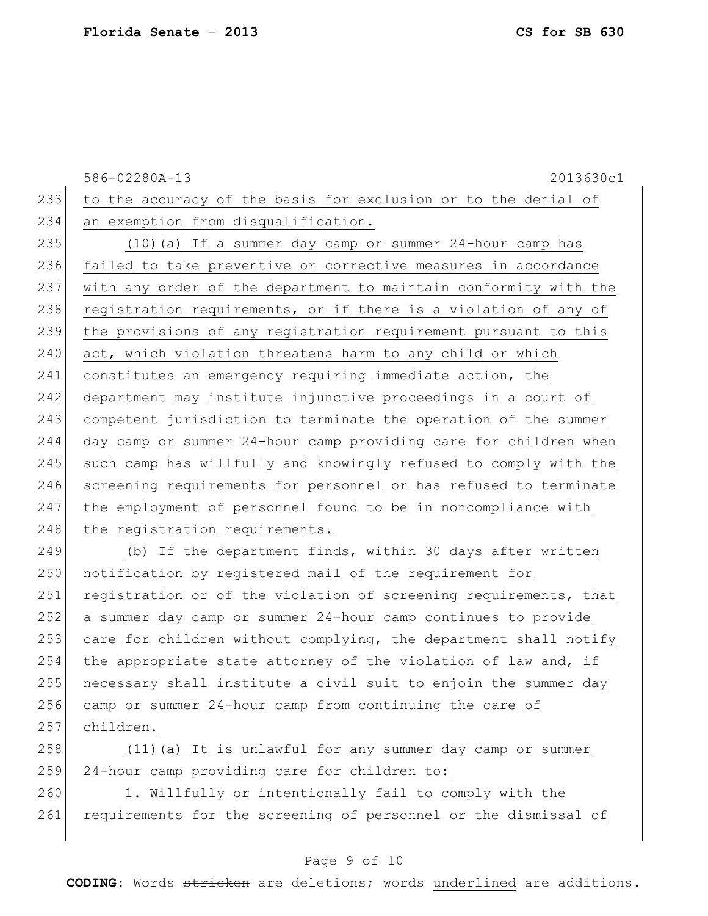586-02280A-13 2013630c1 233 to the accuracy of the basis for exclusion or to the denial of 234 an exemption from disqualification. 235 (10)(a) If a summer day camp or summer 24-hour camp has 236 failed to take preventive or corrective measures in accordance 237 with any order of the department to maintain conformity with the 238 registration requirements, or if there is a violation of any of 239 the provisions of any registration requirement pursuant to this 240 act, which violation threatens harm to any child or which 241 constitutes an emergency requiring immediate action, the 242 department may institute injunctive proceedings in a court of 243 competent jurisdiction to terminate the operation of the summer 244 day camp or summer 24-hour camp providing care for children when 245 such camp has willfully and knowingly refused to comply with the 246 screening requirements for personnel or has refused to terminate 247 the employment of personnel found to be in noncompliance with 248 the registration requirements. 249 (b) If the department finds, within 30 days after written 250 notification by registered mail of the requirement for 251 registration or of the violation of screening requirements, that 252 a summer day camp or summer 24-hour camp continues to provide 253 care for children without complying, the department shall notify  $254$  the appropriate state attorney of the violation of law and, if 255 necessary shall institute a civil suit to enjoin the summer day 256 camp or summer 24-hour camp from continuing the care of 257 children. 258 (11)(a) It is unlawful for any summer day camp or summer 259 24-hour camp providing care for children to: 260 1. Willfully or intentionally fail to comply with the 261 requirements for the screening of personnel or the dismissal of

#### Page 9 of 10